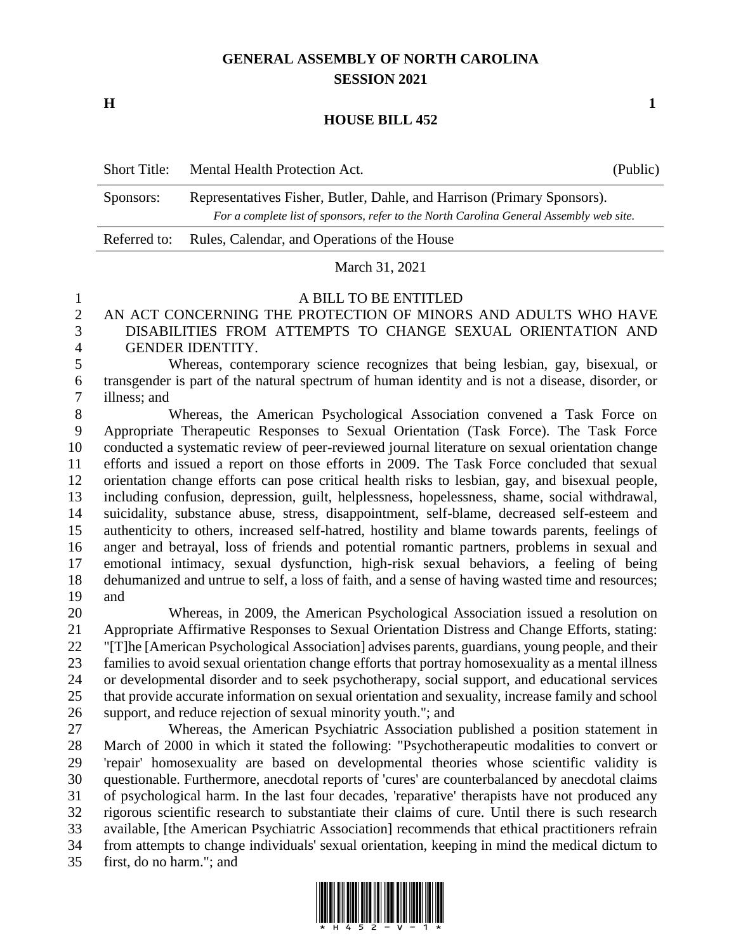# **GENERAL ASSEMBLY OF NORTH CAROLINA SESSION 2021**

**H 1**

### **HOUSE BILL 452**

| <b>Short Title:</b> | Mental Health Protection Act.                                                           | (Public) |
|---------------------|-----------------------------------------------------------------------------------------|----------|
| Sponsors:           | Representatives Fisher, Butler, Dahle, and Harrison (Primary Sponsors).                 |          |
|                     | For a complete list of sponsors, refer to the North Carolina General Assembly web site. |          |
| Referred to:        | Rules, Calendar, and Operations of the House                                            |          |

### March 31, 2021

#### A BILL TO BE ENTITLED

# AN ACT CONCERNING THE PROTECTION OF MINORS AND ADULTS WHO HAVE DISABILITIES FROM ATTEMPTS TO CHANGE SEXUAL ORIENTATION AND GENDER IDENTITY.

 Whereas, contemporary science recognizes that being lesbian, gay, bisexual, or transgender is part of the natural spectrum of human identity and is not a disease, disorder, or illness; and

 Whereas, the American Psychological Association convened a Task Force on Appropriate Therapeutic Responses to Sexual Orientation (Task Force). The Task Force conducted a systematic review of peer-reviewed journal literature on sexual orientation change efforts and issued a report on those efforts in 2009. The Task Force concluded that sexual orientation change efforts can pose critical health risks to lesbian, gay, and bisexual people, including confusion, depression, guilt, helplessness, hopelessness, shame, social withdrawal, suicidality, substance abuse, stress, disappointment, self-blame, decreased self-esteem and authenticity to others, increased self-hatred, hostility and blame towards parents, feelings of anger and betrayal, loss of friends and potential romantic partners, problems in sexual and emotional intimacy, sexual dysfunction, high-risk sexual behaviors, a feeling of being dehumanized and untrue to self, a loss of faith, and a sense of having wasted time and resources; and

 Whereas, in 2009, the American Psychological Association issued a resolution on Appropriate Affirmative Responses to Sexual Orientation Distress and Change Efforts, stating: "[T]he [American Psychological Association] advises parents, guardians, young people, and their families to avoid sexual orientation change efforts that portray homosexuality as a mental illness or developmental disorder and to seek psychotherapy, social support, and educational services that provide accurate information on sexual orientation and sexuality, increase family and school support, and reduce rejection of sexual minority youth."; and

 Whereas, the American Psychiatric Association published a position statement in March of 2000 in which it stated the following: "Psychotherapeutic modalities to convert or 'repair' homosexuality are based on developmental theories whose scientific validity is questionable. Furthermore, anecdotal reports of 'cures' are counterbalanced by anecdotal claims of psychological harm. In the last four decades, 'reparative' therapists have not produced any rigorous scientific research to substantiate their claims of cure. Until there is such research available, [the American Psychiatric Association] recommends that ethical practitioners refrain from attempts to change individuals' sexual orientation, keeping in mind the medical dictum to first, do no harm."; and

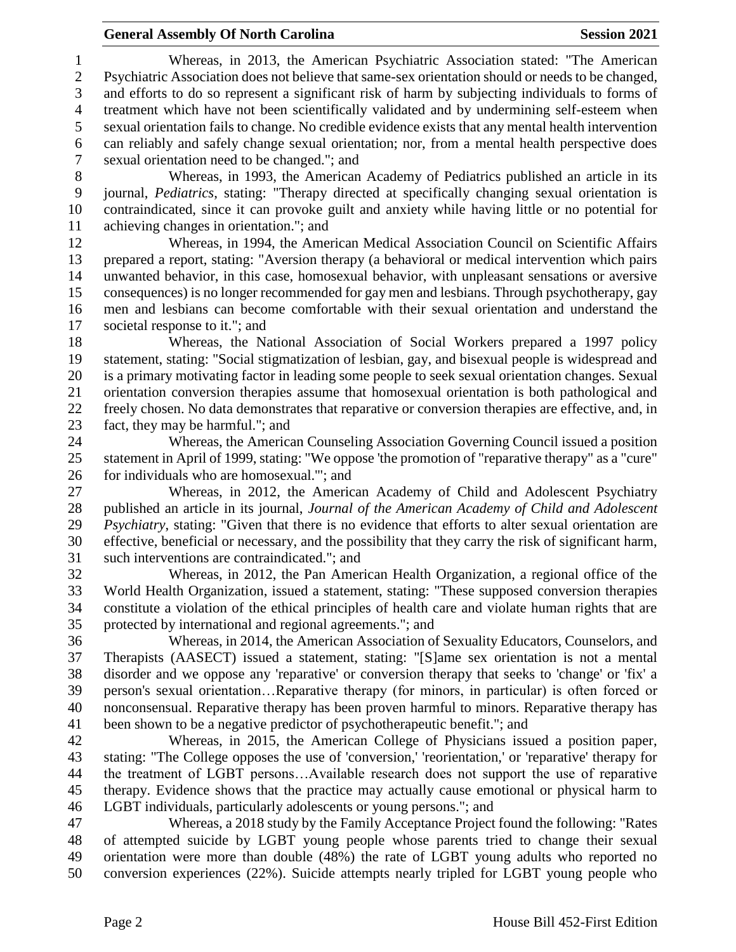## **General Assembly Of North Carolina Session 2021**

 Whereas, in 2013, the American Psychiatric Association stated: "The American Psychiatric Association does not believe that same-sex orientation should or needs to be changed, and efforts to do so represent a significant risk of harm by subjecting individuals to forms of treatment which have not been scientifically validated and by undermining self-esteem when sexual orientation fails to change. No credible evidence exists that any mental health intervention can reliably and safely change sexual orientation; nor, from a mental health perspective does sexual orientation need to be changed."; and

 Whereas, in 1993, the American Academy of Pediatrics published an article in its journal, *Pediatrics*, stating: "Therapy directed at specifically changing sexual orientation is contraindicated, since it can provoke guilt and anxiety while having little or no potential for achieving changes in orientation."; and

 Whereas, in 1994, the American Medical Association Council on Scientific Affairs prepared a report, stating: "Aversion therapy (a behavioral or medical intervention which pairs unwanted behavior, in this case, homosexual behavior, with unpleasant sensations or aversive consequences) is no longer recommended for gay men and lesbians. Through psychotherapy, gay men and lesbians can become comfortable with their sexual orientation and understand the societal response to it."; and

 Whereas, the National Association of Social Workers prepared a 1997 policy statement, stating: "Social stigmatization of lesbian, gay, and bisexual people is widespread and is a primary motivating factor in leading some people to seek sexual orientation changes. Sexual orientation conversion therapies assume that homosexual orientation is both pathological and freely chosen. No data demonstrates that reparative or conversion therapies are effective, and, in fact, they may be harmful."; and

 Whereas, the American Counseling Association Governing Council issued a position statement in April of 1999, stating: "We oppose 'the promotion of "reparative therapy" as a "cure" for individuals who are homosexual.'"; and

 Whereas, in 2012, the American Academy of Child and Adolescent Psychiatry published an article in its journal, *Journal of the American Academy of Child and Adolescent Psychiatry*, stating: "Given that there is no evidence that efforts to alter sexual orientation are effective, beneficial or necessary, and the possibility that they carry the risk of significant harm, such interventions are contraindicated."; and

 Whereas, in 2012, the Pan American Health Organization, a regional office of the World Health Organization, issued a statement, stating: "These supposed conversion therapies constitute a violation of the ethical principles of health care and violate human rights that are protected by international and regional agreements."; and

 Whereas, in 2014, the American Association of Sexuality Educators, Counselors, and Therapists (AASECT) issued a statement, stating: "[S]ame sex orientation is not a mental disorder and we oppose any 'reparative' or conversion therapy that seeks to 'change' or 'fix' a person's sexual orientation…Reparative therapy (for minors, in particular) is often forced or nonconsensual. Reparative therapy has been proven harmful to minors. Reparative therapy has been shown to be a negative predictor of psychotherapeutic benefit."; and

 Whereas, in 2015, the American College of Physicians issued a position paper, stating: "The College opposes the use of 'conversion,' 'reorientation,' or 'reparative' therapy for the treatment of LGBT persons…Available research does not support the use of reparative therapy. Evidence shows that the practice may actually cause emotional or physical harm to LGBT individuals, particularly adolescents or young persons."; and

 Whereas, a 2018 study by the Family Acceptance Project found the following: "Rates of attempted suicide by LGBT young people whose parents tried to change their sexual orientation were more than double (48%) the rate of LGBT young adults who reported no conversion experiences (22%). Suicide attempts nearly tripled for LGBT young people who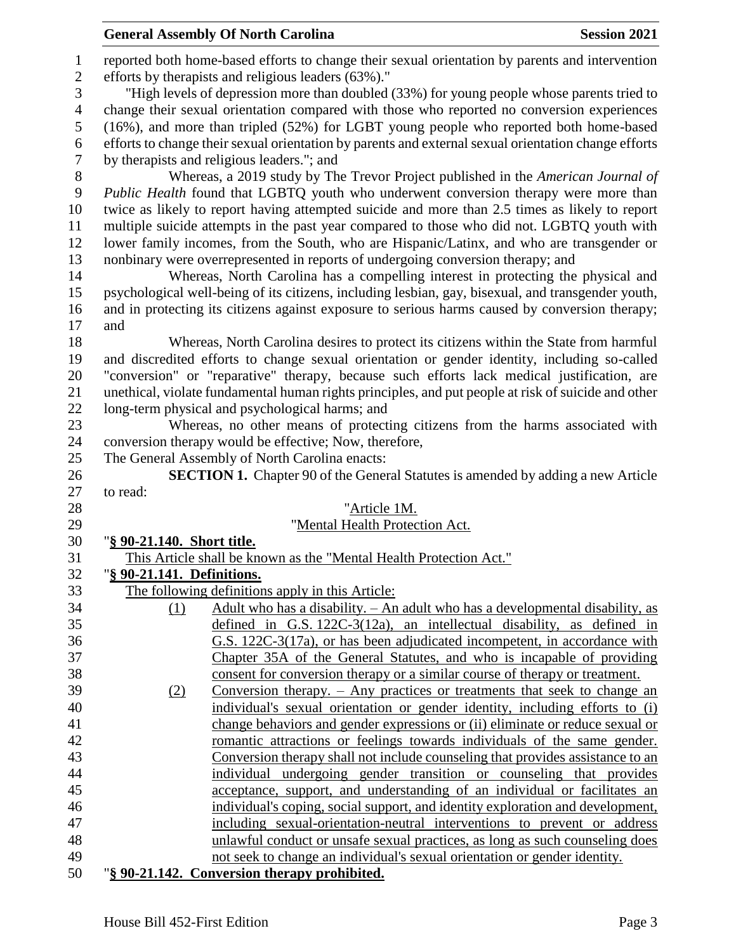|                              | <b>General Assembly Of North Carolina</b>                                                                                                                     | <b>Session 2021</b> |
|------------------------------|---------------------------------------------------------------------------------------------------------------------------------------------------------------|---------------------|
| $\mathbf{1}$<br>$\mathbf{2}$ | reported both home-based efforts to change their sexual orientation by parents and intervention<br>efforts by therapists and religious leaders (63%)."        |                     |
| 3                            | "High levels of depression more than doubled (33%) for young people whose parents tried to                                                                    |                     |
| $\overline{4}$               | change their sexual orientation compared with those who reported no conversion experiences                                                                    |                     |
| 5                            | (16%), and more than tripled (52%) for LGBT young people who reported both home-based                                                                         |                     |
| 6                            | efforts to change their sexual orientation by parents and external sexual orientation change efforts                                                          |                     |
| $\tau$                       | by therapists and religious leaders."; and                                                                                                                    |                     |
| $8\,$                        | Whereas, a 2019 study by The Trevor Project published in the American Journal of                                                                              |                     |
| 9                            | Public Health found that LGBTQ youth who underwent conversion therapy were more than                                                                          |                     |
| 10                           | twice as likely to report having attempted suicide and more than 2.5 times as likely to report                                                                |                     |
| 11                           | multiple suicide attempts in the past year compared to those who did not. LGBTQ youth with                                                                    |                     |
| 12                           | lower family incomes, from the South, who are Hispanic/Latinx, and who are transgender or                                                                     |                     |
| 13                           | nonbinary were overrepresented in reports of undergoing conversion therapy; and                                                                               |                     |
| 14                           | Whereas, North Carolina has a compelling interest in protecting the physical and                                                                              |                     |
| 15                           | psychological well-being of its citizens, including lesbian, gay, bisexual, and transgender youth,                                                            |                     |
| 16                           | and in protecting its citizens against exposure to serious harms caused by conversion therapy;                                                                |                     |
| 17                           | and                                                                                                                                                           |                     |
| 18                           | Whereas, North Carolina desires to protect its citizens within the State from harmful                                                                         |                     |
| 19                           | and discredited efforts to change sexual orientation or gender identity, including so-called                                                                  |                     |
| 20<br>21                     | "conversion" or "reparative" therapy, because such efforts lack medical justification, are                                                                    |                     |
| 22                           | unethical, violate fundamental human rights principles, and put people at risk of suicide and other<br>long-term physical and psychological harms; and        |                     |
| 23                           | Whereas, no other means of protecting citizens from the harms associated with                                                                                 |                     |
| 24                           | conversion therapy would be effective; Now, therefore,                                                                                                        |                     |
| 25                           | The General Assembly of North Carolina enacts:                                                                                                                |                     |
| 26                           | <b>SECTION 1.</b> Chapter 90 of the General Statutes is amended by adding a new Article                                                                       |                     |
| 27                           | to read:                                                                                                                                                      |                     |
| 28                           | "Article 1M.                                                                                                                                                  |                     |
| 29                           | "Mental Health Protection Act.                                                                                                                                |                     |
| 30                           | "§ 90-21.140. Short title.                                                                                                                                    |                     |
| 31                           | This Article shall be known as the "Mental Health Protection Act."                                                                                            |                     |
| 32                           | "§ 90-21.141. Definitions.                                                                                                                                    |                     |
| 33                           | The following definitions apply in this Article:                                                                                                              |                     |
| 34                           | Adult who has a disability. - An adult who has a developmental disability, as<br>(1)                                                                          |                     |
| 35                           | defined in $G.S. 122C-3(12a)$ , an intellectual disability, as defined in                                                                                     |                     |
| 36                           | G.S. 122C-3(17a), or has been adjudicated incompetent, in accordance with                                                                                     |                     |
| 37                           | Chapter 35A of the General Statutes, and who is incapable of providing                                                                                        |                     |
| 38                           | consent for conversion therapy or a similar course of therapy or treatment.                                                                                   |                     |
| 39                           | Conversion therapy. $-$ Any practices or treatments that seek to change an<br>(2)                                                                             |                     |
| 40<br>41                     | individual's sexual orientation or gender identity, including efforts to (i)<br>change behaviors and gender expressions or (ii) eliminate or reduce sexual or |                     |
| 42                           | romantic attractions or feelings towards individuals of the same gender.                                                                                      |                     |
| 43                           | Conversion therapy shall not include counseling that provides assistance to an                                                                                |                     |
| 44                           | individual undergoing gender transition or counseling that provides                                                                                           |                     |
| 45                           | acceptance, support, and understanding of an individual or facilitates an                                                                                     |                     |
| 46                           | individual's coping, social support, and identity exploration and development,                                                                                |                     |
| 47                           | including sexual-orientation-neutral interventions to prevent or address                                                                                      |                     |
| 48                           | unlawful conduct or unsafe sexual practices, as long as such counseling does                                                                                  |                     |
| 49                           | not seek to change an individual's sexual orientation or gender identity.                                                                                     |                     |
| 50                           | "§ 90-21.142. Conversion therapy prohibited.                                                                                                                  |                     |